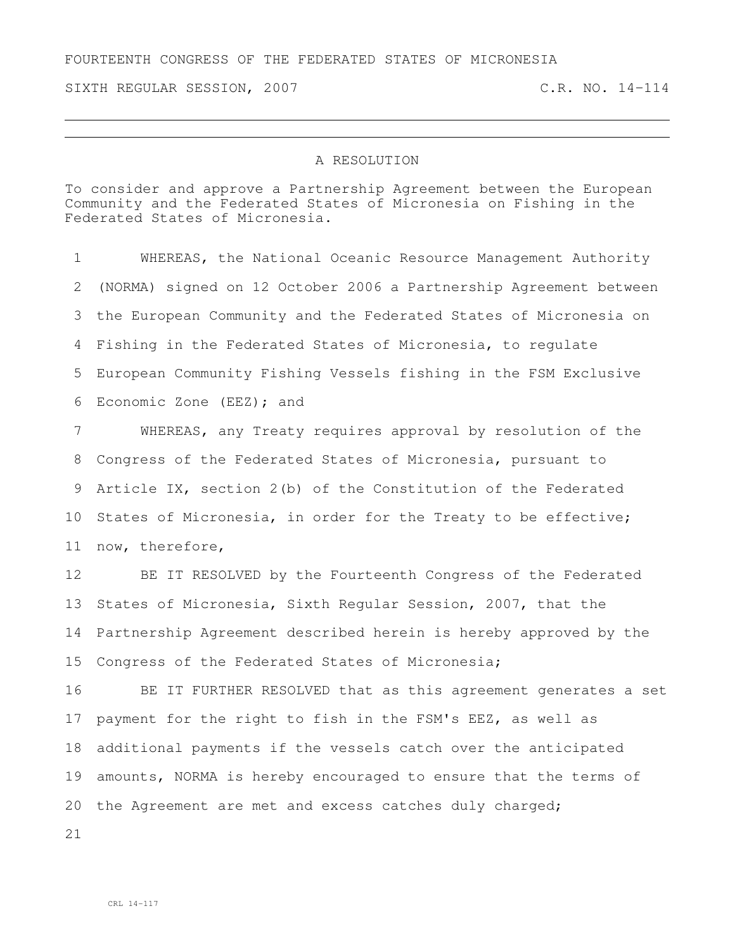## FOURTEENTH CONGRESS OF THE FEDERATED STATES OF MICRONESIA

SIXTH REGULAR SESSION, 2007 C.R. NO. 14-114

## A RESOLUTION

To consider and approve a Partnership Agreement between the European Community and the Federated States of Micronesia on Fishing in the Federated States of Micronesia.

 WHEREAS, the National Oceanic Resource Management Authority (NORMA) signed on 12 October 2006 a Partnership Agreement between the European Community and the Federated States of Micronesia on Fishing in the Federated States of Micronesia, to regulate European Community Fishing Vessels fishing in the FSM Exclusive Economic Zone (EEZ); and

 WHEREAS, any Treaty requires approval by resolution of the Congress of the Federated States of Micronesia, pursuant to Article IX, section 2(b) of the Constitution of the Federated States of Micronesia, in order for the Treaty to be effective; now, therefore,

 BE IT RESOLVED by the Fourteenth Congress of the Federated States of Micronesia, Sixth Regular Session, 2007, that the Partnership Agreement described herein is hereby approved by the Congress of the Federated States of Micronesia;

 BE IT FURTHER RESOLVED that as this agreement generates a set payment for the right to fish in the FSM's EEZ, as well as additional payments if the vessels catch over the anticipated amounts, NORMA is hereby encouraged to ensure that the terms of 20 the Agreement are met and excess catches duly charged;